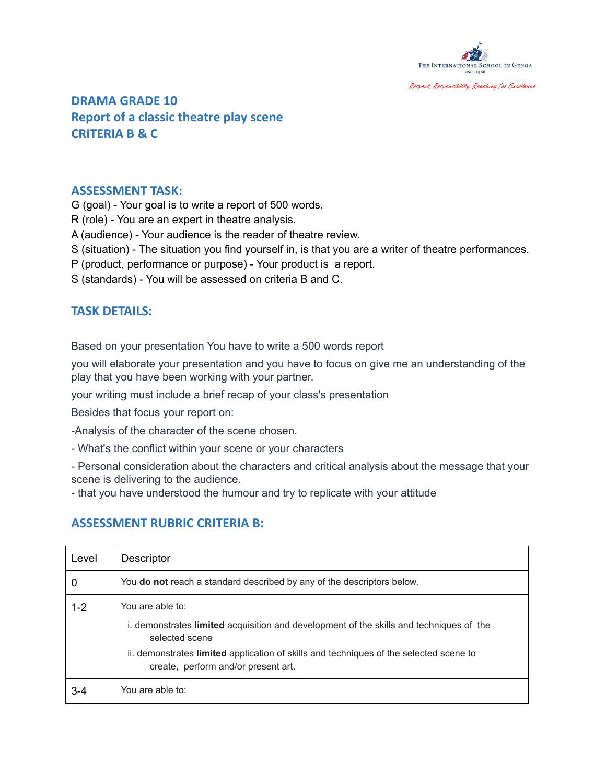

**DRAMA GRADE 10 Report of a classic theatre play scene [C](https://isgenoa.managebac.com/teacher/classes/11867298/core_tasks/32119434)RITERIA B & C**

#### **ASSESSMENT TASK:**

G (goal) - Your goal is to write a report of 500 words.

R (role) - You are an expert in theatre analysis.

A (audience) - Your audience is the reader of theatre review.

S (situation) - The situation you find yourself in, is that you are a writer of theatre performances.

P (product, performance or purpose) - Your product is a report.

S (standards) - You will be assessed on criteria B and C.

### **TASK DETAILS:**

Based on your presentation You have to write a 500 words report

you will elaborate your presentation and you have to focus on give me an understanding of the play that you have been working with your partner.

your writing must include a brief recap of your class's presentation

Besides that focus your report on:

-Analysis of the character of the scene chosen.

- What's the conflict within your scene or your characters

- Personal consideration about the characters and critical analysis about the message that your scene is delivering to the audience.

- that you have understood the humour and try to replicate with your attitude

## **ASSESSMENT RUBRIC CRITERIA B:**

| Level   | <b>Descriptor</b>                                                                                                                                                                                                                                              |
|---------|----------------------------------------------------------------------------------------------------------------------------------------------------------------------------------------------------------------------------------------------------------------|
| 0       | You do not reach a standard described by any of the descriptors below.                                                                                                                                                                                         |
| $1 - 2$ | You are able to:<br>i. demonstrates limited acquisition and development of the skills and techniques of the<br>selected scene<br>ii. demonstrates limited application of skills and techniques of the selected scene to<br>create, perform and/or present art. |
| 3-4     | You are able to:                                                                                                                                                                                                                                               |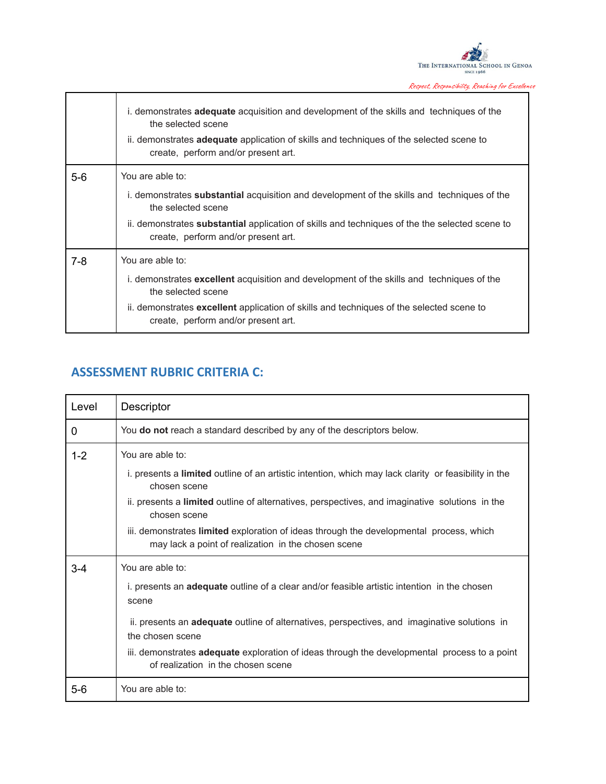

Respect, Responsibility, Reaching for Excellence

|       | i. demonstrates <b>adequate</b> acquisition and development of the skills and techniques of the<br>the selected scene<br>ii. demonstrates <b>adequate</b> application of skills and techniques of the selected scene to<br>create, perform and/or present art. |
|-------|----------------------------------------------------------------------------------------------------------------------------------------------------------------------------------------------------------------------------------------------------------------|
| $5-6$ | You are able to:                                                                                                                                                                                                                                               |
|       | i. demonstrates <b>substantial</b> acquisition and development of the skills and techniques of the<br>the selected scene                                                                                                                                       |
|       | ii. demonstrates <b>substantial</b> application of skills and techniques of the the selected scene to<br>create, perform and/or present art.                                                                                                                   |
| 7-8   | You are able to:                                                                                                                                                                                                                                               |
|       | i. demonstrates <b>excellent</b> acquisition and development of the skills and techniques of the<br>the selected scene                                                                                                                                         |
|       | ii. demonstrates excellent application of skills and techniques of the selected scene to<br>create, perform and/or present art.                                                                                                                                |

# **ASSESSMENT RUBRIC CRITERIA C:**

| Level   | Descriptor                                                                                                                                     |
|---------|------------------------------------------------------------------------------------------------------------------------------------------------|
| 0       | You do not reach a standard described by any of the descriptors below.                                                                         |
| $1 - 2$ | You are able to:                                                                                                                               |
|         | i. presents a limited outline of an artistic intention, which may lack clarity or feasibility in the<br>chosen scene                           |
|         | ii. presents a limited outline of alternatives, perspectives, and imaginative solutions in the<br>chosen scene                                 |
|         | iii. demonstrates limited exploration of ideas through the developmental process, which<br>may lack a point of realization in the chosen scene |
| $3 - 4$ | You are able to:                                                                                                                               |
|         | i. presents an <b>adequate</b> outline of a clear and/or feasible artistic intention in the chosen<br>scene                                    |
|         | ii. presents an <b>adequate</b> outline of alternatives, perspectives, and imaginative solutions in<br>the chosen scene                        |
|         | iii. demonstrates adequate exploration of ideas through the developmental process to a point<br>of realization in the chosen scene             |
| $5-6$   | You are able to:                                                                                                                               |